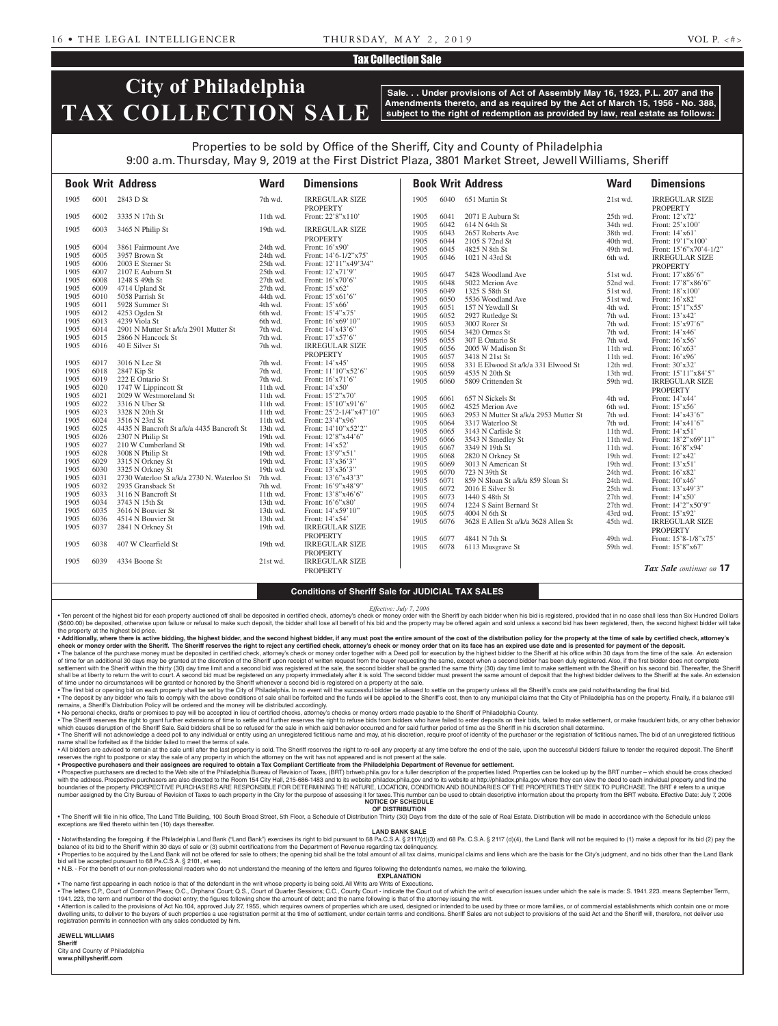## Tax Collection Sale

# **City of Philadelphia TAX COLLECTION SALE**

**Sale. . . Under provisions of Act of Assembly May 16, 1923, P.L. 207 and the Amendments thereto, and as required by the Act of March 15, 1956 - No. 388, subject to the right of redemption as provided by law, real estate as follows:**

## Properties to be sold by Office of the Sheriff, City and County of Philadelphia 9:00 a.m. Thursday, May 9, 2019 at the First District Plaza, 3801 Market Street, Jewell Williams, Sheriff

|              |              | <b>Book Writ Address</b>                   | <b>Ward</b>          | <b>Dimensions</b>                           |              |              | <b>Book Writ Address</b>              | <b>Ward</b>          | <b>Dimensions</b>                                                   |
|--------------|--------------|--------------------------------------------|----------------------|---------------------------------------------|--------------|--------------|---------------------------------------|----------------------|---------------------------------------------------------------------|
| 1905         | 6001         | 2843 D St                                  | 7th wd.              | <b>IRREGULAR SIZE</b><br><b>PROPERTY</b>    | 1905         | 6040         | 651 Martin St                         | 21st wd.             | <b>IRREGULAR SIZE</b><br><b>PROPERTY</b>                            |
| 1905         | 6002         | 3335 N 17th St                             | 11th wd.             | Front: 22'8"x110"                           | 1905         | 6041         | 2071 E Auburn St                      | 25th wd.             | Front: 12'x72'                                                      |
| 1905         | 6003         | 3465 N Philip St                           | 19th wd.             | <b>IRREGULAR SIZE</b>                       | 1905<br>1905 | 6042<br>6043 | 614 N 64th St<br>2657 Roberts Ave     | 34th wd.<br>38th wd. | Front: 25'x100'<br>Front: 14'x61'                                   |
|              |              |                                            |                      | <b>PROPERTY</b>                             | 1905         | 6044         | 2105 S 72nd St                        | 40th wd.             | Front: 19'1"x100"                                                   |
| 1905         | 6004         | 3861 Fairmount Ave                         | 24th wd.             | Front: 16'x90'                              | 1905         | 6045         | 4825 N 8th St                         | 49th wd.             | Front: $15^{\circ}6^{\prime\prime}x70^{\prime}4-1/2^{\prime\prime}$ |
| 1905         | 6005         | 3957 Brown St                              | 24th wd.             | Front: $14'6 - 1/2''x75'$                   | 1905         | 6046         | 1021 N 43rd St                        | 6th wd.              | <b>IRREGULAR SIZE</b>                                               |
| 1905         | 6006         | 2003 E Sterner St                          | 25th wd.             | Front: 12'11"x49'3/4"                       |              |              |                                       |                      | <b>PROPERTY</b>                                                     |
| 1905         | 6007         | 2107 E Auburn St                           | 25th wd.             | Front: 12'x71'9"                            | 1905         | 6047         | 5428 Woodland Ave                     | 51st wd.             | Front: 17'x86'6"                                                    |
| 1905         | 6008         | 1248 S 49th St                             | 27th wd.             | Front: 16'x70'6"                            | 1905         | 6048         | 5022 Merion Ave                       | 52nd wd.             | Front: 17'8"x86'6"                                                  |
| 1905         | 6009         | 4714 Upland St                             | 27th wd.             | Front: 15'x62'                              | 1905         | 6049         | 1325 S 58th St                        | 51st wd.             | Front: 18'x100'                                                     |
| 1905         | 6010         | 5058 Parrish St                            | 44th wd.             | Front: 15'x61'6"                            | 1905         | 6050         | 5536 Woodland Ave                     | 51st wd.             | Front: 16'x82'                                                      |
| 1905         | 6011         | 5928 Summer St                             | 4th wd.              | Front: 15'x66'                              | 1905         | 6051         | 157 N Yewdall St                      | 4th wd.              | Front: 15'1"x55'                                                    |
| 1905         | 6012         | 4253 Ogden St                              | 6th wd.              | Front: 15'4"x75'                            | 1905         | 6052         | 2927 Rutledge St                      | 7th wd.              | Front: 13'x42'                                                      |
| 1905         | 6013         | 4239 Viola St                              | 6th wd.              | Front: 16'x69'10"                           | 1905         | 6053         | 3007 Rorer St                         | 7th wd.              | Front: 15'x97'6"                                                    |
| 1905         | 6014         | 2901 N Mutter St a/k/a 2901 Mutter St      | 7th wd.              | Front: 14'x43'6"                            | 1905         | 6054         | 3420 Ormes St                         | 7th wd.              | Front: 14'x46'                                                      |
| 1905         | 6015         | 2866 N Hancock St                          | 7th wd.              | Front: 17'x57'6"                            | 1905         | 6055         | 307 E Ontario St                      | 7th wd.              | Front: 16'x56'                                                      |
| 1905         | 6016         | 40 E Silver St                             | 7th wd.              | <b>IRREGULAR SIZE</b>                       | 1905         | 6056         | 2005 W Madison St                     | $11th$ wd.           | Front: $16'x63'$                                                    |
|              |              |                                            |                      | <b>PROPERTY</b>                             | 1905         | 6057         | 3418 N 21st St                        | 11th wd.             | Front: 16'x96'                                                      |
| 1905         | 6017         | 3016 N Lee St                              | 7th wd.              | Front: 14'x45'                              | 1905         | 6058         | 331 E Elwood St a/k/a 331 Elwood St   | 12th wd.             | Front: 30'x32'                                                      |
| 1905         | 6018         | 2847 Kip St                                | 7th wd.              | Front: 11'10"x52'6"                         | 1905         | 6059         | 4535 N 20th St                        | 13th wd.             | Front: 15'11"x84'5"                                                 |
| 1905         | 6019         | 222 E Ontario St                           | 7th wd.              | Front: 16'x71'6"                            | 1905         | 6060         | 5809 Crittenden St                    | 59th wd.             | <b>IRREGULAR SIZE</b>                                               |
| 1905         | 6020         | 1747 W Lippincott St                       | 11th wd.             | Front: $14'x50'$                            |              |              |                                       |                      | <b>PROPERTY</b>                                                     |
| 1905         | 6021         | 2029 W Westmoreland St                     | 11th wd.             | Front: 15'2"x70"                            | 1905         | 6061         | 657 N Sickels St                      | 4th wd.              | Front: 14'x44'                                                      |
| 1905         | 6022         | 3316 N Uber St                             | 11th wd.             | Front: $15'10''x91'6''$                     | 1905         | 6062         | 4525 Merion Ave                       | 6th wd.              | Front: 15'x56'                                                      |
| 1905<br>1905 | 6023<br>6024 | 3328 N 20th St<br>3516 N 23rd St           | 11th wd.<br>11th wd. | Front: 25'2-1/4"x47'10"<br>Front: 23'4"x96' | 1905         | 6063         | 2953 N Mutter St a/k/a 2953 Mutter St | 7th wd.              | Front: 14'x43'6"                                                    |
| 1905         | 6025         | 4435 N Bancroft St a/k/a 4435 Bancroft St  | 13th wd.             | Front: 14'10"x52'2"                         | 1905         | 6064         | 3317 Waterloo St                      | 7th wd.              | Front: 14'x41'6"                                                    |
| 1905         | 6026         | 2307 N Philip St                           | 19th wd.             | Front: 12'8"x44'6"                          | 1905         | 6065         | 3143 N Carlisle St                    | $11th$ wd.           | Front: 14'x51'                                                      |
| 1905         | 6027         | 210 W Cumberland St                        | 19th wd.             | Front: $14'x52'$                            | 1905         | 6066         | 3543 N Smedley St                     | 11th wd.             | Front: 18'2"x69'11"                                                 |
| 1905         | 6028         | 3008 N Philip St                           | 19th wd.             | Front: 13'9"x51'                            | 1905         | 6067         | 3349 N 19th St                        | 11th wd.             | Front: 16'8"x94'                                                    |
| 1905         | 6029         | 3315 N Orkney St                           | 19th wd.             | Front: 13'x36'3"                            | 1905         | 6068         | 2820 N Orkney St                      | 19th wd.             | Front: 12'x42'                                                      |
| 1905         | 6030         | 3325 N Orkney St                           | 19th wd.             | Front: 13'x36'3"                            | 1905         | 6069         | 3013 N American St                    | 19th wd.             | Front: 13'x51'                                                      |
| 1905         | 6031         | 2730 Waterloo St a/k/a 2730 N. Waterloo St | 7th wd.              | Front: 13'6"x43'3"                          | 1905         | 6070         | 723 N 39th St                         | 24th wd.             | Front: 16'x82'                                                      |
| 1905         | 6032         | 2935 Gransback St                          | 7th wd.              | Front: 16'9"x48'9"                          | 1905         | 6071         | 859 N Sloan St a/k/a 859 Sloan St     | 24th wd.             | Front: 10'x46'                                                      |
| 1905         | 6033         | 3116 N Bancroft St                         | 11th wd.             | Front: 13'8"x46'6"                          | 1905         | 6072         | 2016 E Silver St                      | 25th wd.             | Front: 13'x49'3"                                                    |
| 1905         | 6034         | 3743 N 15th St                             | 13th wd.             | Front: 16'6"x80"                            | 1905         | 6073         | 1440 S 48th St                        | 27th wd.             | Front: 14'x50'                                                      |
| 1905         | 6035         | 3616 N Bouvier St                          | 13th wd.             | Front: 14'x59'10"                           | 1905         | 6074         | 1224 S Saint Bernard St               | 27th wd.             | Front: 14'2"x50'9"                                                  |
| 1905         | 6036         | 4514 N Bouvier St                          | 13th wd.             | Front: 14'x54'                              | 1905         | 6075         | 4004 N 6th St                         | 43rd wd.             | Front: 15'x92'                                                      |
| 1905         | 6037         | 2841 N Orkney St                           | 19th wd.             | <b>IRREGULAR SIZE</b>                       | 1905         | 6076         | 3628 E Allen St a/k/a 3628 Allen St   | 45th wd.             | <b>IRREGULAR SIZE</b>                                               |
|              |              |                                            |                      | <b>PROPERTY</b>                             |              |              |                                       |                      | <b>PROPERTY</b>                                                     |
| 1905         | 6038         | 407 W Clearfield St                        | 19th wd.             | <b>IRREGULAR SIZE</b>                       | 1905         | 6077         | 4841 N 7th St                         | 49th wd.             | Front: 15'8-1/8"x75"                                                |
|              |              |                                            |                      | <b>PROPERTY</b>                             | 1905         | 6078         | 6113 Musgrave St                      | 59th wd.             | Front: 15'8"x67"                                                    |
| 1905         | 6039         | 4334 Boone St                              | 21st wd.             | <b>IRREGULAR SIZE</b>                       |              |              |                                       |                      |                                                                     |
|              |              |                                            |                      | <b>PROPERTY</b>                             |              |              |                                       |                      | Tax Sale continues on 17                                            |
|              |              |                                            |                      |                                             |              |              |                                       |                      |                                                                     |

## **Conditions of Sheriff Sale for JUDICIAL TAX SALES**

*Effective: July 7, 2006*

Ten percent of the highest bid for each property auctioned off shall be deposited in certified check, attorney's check or money order with the Sheriff by each bidder when his bid is registered, provided that in no case sha (\$600.00) be deposited, otherwise upon failure or refusal to make such deposit, the bidder shall lose all benefit of his bid and the property may be offered again and sold unless a second bid has been registered, then, the the property at the highest bid price.

. Additionally, where there is active bidding, the highest bidder, and the second highest bidder, if any must post the entire amount of the cost of the distribution policy for the property at the time of sale by certified check or money order with the Sheriff. The Sheriff reserves the right to reject any certified check, attorney's check or money order that on its face has an expired use date and is presented for payment of the deposit.<br>• T of time for an additional 30 days may be granted at the discretion of the Sheriff upon receipt of written request from the buyer requesting the same, except when a second bidder has been duly registered. Also, if the first settlement with the Sheriff within the thirty (30) day time limit and a second bid was registered at the sale, the second bidder shall be granted the same thirty (30) day time limit to make settlement with the Sheriff on h shall be at liberty to return the writ to court. A second bid must be registered on any property immediately after it is sold. The second bidder must present the same amount of deposit that the highest bidder delivers to t

of time under no circumstances will be granted or honored by the Sheriff whenever a second bid is registered on a property at the sale.<br>• The first bid or opening bid on each property shall be set by the City of Philadelph

. The deposit by any bidder who fails to comply with the above conditions of sale shall be forfeited and the funds will be applied to the Sheriff's cost, then to any municipal claims that the City of Philadelphia has on th remains, a Sheriff's Distribution Policy will be ordered and the money will be distributed accordingly.

• No personal checks, drafts or promises to pay will be accepted in lieu of certified checks, attorney's checks or money orders made payable to the Sheriff of Philadelphia County.

• The Sheriff reserves the right to grant further extensions of time to settle and further reserves the right to refuse bids from bidders who have failed to enter deposits on their bids, failed to make settlement, or make . The Sheriff will not acknowledge a deed poll to any individual or entity using an unregistered fictitious name and may, at his discretion, require proof of identity of the purchaser or the registration of fictitious name

name shall be forfeited as if the bidder failed to meet the terms of sale. . All bidders are advised to remain at the sale until after the last property is sold. The Sheriff reserves the right to re-sell any property at any time before the end of the sale, upon the successful bidders' failure to

reserves the right to postpone or stay the sale of any property in which the attorney on the writ has not appeared and is not present at the sale

• Prospective purchasers and their assignees are required to obtain a Tax Compliant Certificate from the Philadelphia Department of Revenue for settlement.<br>• Prospective purchasers are directed to the Web site of the Phila with the address. Prospective purchasers are also directed to the Room 154 City Hall, 215-686-1483 and to its website philadox.phila.gov and to its website at http://philadox.phila.gov where they can view the deed to each number assigned by the City Bureau of Revision of Taxes to each property in the City for the purpose of assessing it for taxes. This number can be used to obtain descriptive information about the property from the BRT webs

#### **NOTICE OF SCHEDULE OF DISTRIBUTION**

. The Sheriff will file in his office, The Land Title Building, 100 South Broad Street, 5th Floor, a Schedule of Distribution Thirty (30) Days from the date of the sale of Real Estate. Distribution will be made in accordan exceptions are filed thereto within ten (10) days thereafte

## **LAND BANK SALE**

. Notwithstanding the foregoing, if the Philadelphia Land Bank ("Land Bank") exercises its right to bid pursuant to 68 Pa.C.S.A. § 2117(d)(3) and 68 Pa.C.S.A. § 2117 (d)(4), the Land Bank will not be required to (1) make a balance of its bid to the Sheriff within 30 days of sale or (3) submit certifications from the Department of Revenue regarding tax delinquency.

• Properties to be acquired by the Land Bank will not be offered for sale to others; the opening bid shall be the total amount of all tax claims, municipal claims and liens which are the basis for the City's judgment, and bid will be accepted pursuant to 68 Pa.C.S.A. § 2101, et seq. • N.B. - For the benefit of our non-professional readers who do not understand the meaning of the letters and figures following the defendant's names, we make the following.

**EXPLANATION** 

• The name first appearing in each notice is that of the defendant in the writ whose property is being sold. All Writs are Writs of Executions.

. The letters C.P., Court of Common Pleas; O.C., Orphans' Court; Q.S., Court of Quarter Sessions; C.C., County Court - indicate the Court out of which the writ of execution issues under which the sale is made: S. 1941. 223 1941. 223, the term and number of the docket entry; the figures following show the amount of debt; and the name following is that of the attorney issuing the writ.

. Attention is called to the provisions of Act No.104, approved July 27, 1955, which requires owners of properties which are used, designed or intended to be used by three or more families, or of commercial establishments dwelling units, to deliver to the buyers of such properties a use registration permit at the time of settlement, under certain terms and conditions. Sheriff Sales are not subject to provisions of the said Act and the Sheri registration permits in connection with any sales conducted by him.

#### **JEWELL WILLIAMS Sheriff**

City and County of Philadelphia **www.phillysheriff.com**